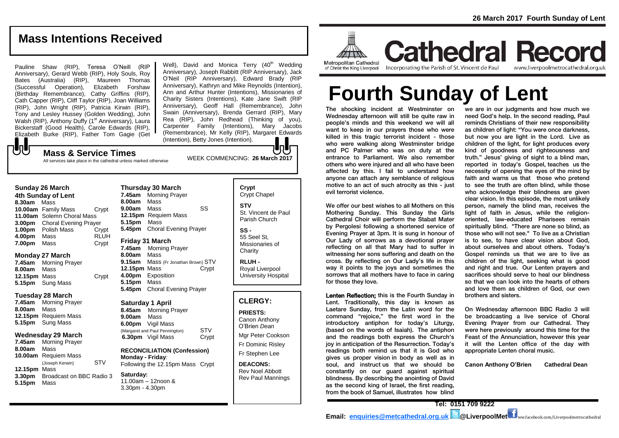### **Mass Intentions Received**

Pauline Shaw (RIP), Teresa O'Neill (RIP Anniversary), Gerard Webb (RIP), Holy Souls, Roy Bates (Australia) (RIP), Maureen Thomas (Successful Operation), Elizabeth Forshaw (Birthday Remembrance), Cathy Griffins (RIP), Cath Capper (RIP), Cliff Taylor (RIP), Joan Williams (RIP), John Wright (RIP), Patricia Kirwin (RIP), Tony and Lesley Hussey (Golden Wedding), John Walsh (RIP), Anthony Duffy (1<sup>st</sup> Anniversary), Laura Bickerstaff (Good Health), Carole Edwards (RIP), Elizabeth Burke (RIP), Father Tom Gagie (Get Well), David and Monica Terry  $(40<sup>th</sup>$  Wedding Anniversary), Joseph Rabbitt (RIP Anniversary), Jack O'Neil (RIP Anniversary), Edward Brady (RIP Anniversary), Kathryn and Mike Reynolds (Intention), Ann and Arthur Hunter (Intentions), Missionaries of Charity Sisters (Intentions), Kate Jane Swift (RIP Anniversary), Geoff Hall (Remembrance), John Swain (Anniversary), Brenda Gerrard (RIP), Mary Rea (RIP), John Redhead (Thinking of you), Carpenter Family (Intentions), Mary Jacobs (Remembrance), Mr Kelly (RIP), Margaret Edwards (Intention), Betty Jones (Intention).

### ${\bf J}$ WEEK COMMENCING: **26 March <sup>2017</sup> Mass & Service Times**

All services take place in the cathedral unless marked otherwise

#### **Sunday 26 March**

**4th Sunday of Lent 8.30am** Mass **10.00am** Family Mass Crypt **11.00am** Solemn Choral Mass **3.00pm** Choral Evening Prayer **1.00pm** Polish Mass Crypt **4.00pm** Mass RLUH **7.00pm** Mass Crypt

#### **Monday 27 March**

**7.45am** Morning Prayer **8.00am** Mass **12.15pm** Mass Crypt **5.15pm** Sung Mass

#### **Tuesday 28 March**

**7.45am** Morning Prayer **8.00am** Mass **12.15pm** Requiem Mass **5.15pm** Sung Mass

#### **Wednesday 29 March**

**7.45am** Morning Prayer **8.00am** Mass **10.00am** Requiem Mass (Joseph Kerwin) STV **12.15pm** Mass **3.30pm** Broadcast on BBC Radio 3 **5.15pm** Mass

### **8.00am** Mass **12.15pm** Requiem Mass

**Thursday 30 March** 

**5.15pm** Mass **5.45pm** Choral Evening Prayer

**8.00am** Mass **9.15am** Mass (Fr Jonathan Brown) STV **12.15pm** Mass Crypt **4.00pm** Exposition **5.15pm** Mass **5.45pm** Choral Evening Prayer

#### **Saturday 1 April**

**8.45am** Morning Prayer **9.00am** Mass **6.00pm** Vigil Mass (Margaret and Paul Pennington) STV **6.30pm** Vigil Mass Crypt

**RECONCILIATION (Confession) Monday - Friday**: Following the 12.15pm Mass Crypt

**Saturday:** 11.00am – 12noon & 3.30pm - 4.30pm

### **Crypt**  Crypt Chapel **STV** St. Vincent de Paul Parish Church **SS -**

55 Seel St, Missionaries of **Charity** 

**RLUH -** Royal Liverpool University Hospital

#### **CLERGY:**

**PRIESTS:** Canon Anthony O'Brien *Dean* Mgr Peter Cookson Fr Dominic Risley Fr Stephen Lee

**DEACONS:** Rev Noel Abbott Rev Paul Mannings



**Cathedral Record** Incorporating the Parish of St. Vincent de Paul

www.liverpoolmetrocathedral.org.uk

# **Fourth Sunday of Lent**

The shocking incident at Westminster on Wednesday afternoon will still be quite raw in people's minds and this weekend we will all want to keep in our prayers those who were killed in this tragic terrorist incident - those who were walking along Westminster bridge and PC Palmer who was on duty at the entrance to Parliament. We also remember others who were injured and all who have been affected by this. I fail to understand how anyone can attach any semblance of religious motive to an act of such atrocity as this - just evil terrorist violence.

We offer our best wishes to all Mothers on this Mothering Sunday. This Sunday the Girls Cathedral Choir will perform the Stabat Mater by Pergolesi following a shortened service of Evening Prayer at 3pm. It is sung in honour of Our Lady of sorrows as a devotional prayer reflecting on all that Mary had to suffer in witnessing her sons suffering and death on the cross. By reflecting on Our Lady's life in this way it points to the joys and sometimes the sorrows that all mothers have to face in caring for those they love.

Lenten Reflection; this is the Fourth Sunday in Lent. Traditionally, this day is known as Laetare Sunday, from the Latin word for the command "rejoice," the first word in the introductory antiphon for today's Liturgy, (based on the words of Isaiah). The antiphon and the readings both express the Church's joy in anticipation of the Resurrection. Today's readings both remind us that it is God who gives us proper vision in body as well as in soul, and instruct us that we should be constantly on our guard against spiritual blindness. By describing the anointing of David as the second king of Israel, the first reading, from the book of Samuel, illustrates how blind

we are in our judgments and how much we need God's help. In the second reading, Paul reminds Christians of their new responsibility as children of light: "You were once darkness, but now you are light in the Lord. Live as children of the light, for light produces every kind of goodness and righteousness and truth." Jesus' giving of sight to a blind man, reported in today's Gospel, teaches us the necessity of opening the eyes of the mind by faith and warns us that those who pretend to see the truth are often blind, while those who acknowledge their blindness are given clear vision. In this episode, the most unlikely person, namely the blind man, receives the light of faith in Jesus, while the religionoriented, law-educated Pharisees remain spiritually blind. "There are none so blind, as those who will not see." To live as a Christian is to see, to have clear vision about God, about ourselves and about others. Today's Gospel reminds us that we are to live as children of the light, seeking what is good and right and true. Our Lenten prayers and sacrifices should serve to heal our blindness so that we can look into the hearts of others and love them as children of God, our own brothers and sisters.

On Wednesday afternoon BBC Radio 3 will be broadcasting a live service of Choral Evening Prayer from our Cathedral. They were here previously around this time for the Feast of the Annunciation, however this year it will the Lenten office of the day with appropriate Lenten choral music.

**Canon Anthony O'Brien Cathedral Dean**

**Tel: 0151 709 9222 Email: [enquiries@metcathedral.org.uk](mailto:enquiries@metcathedral.org.uk) <b>B**@LiverpoolMet **f** ww.facebook.com/Liverpoolmetrocathedral

**7.45am** Morning Prayer **9.00am** Mass SS

### **Friday 31 March**

**7.45am** Morning Prayer